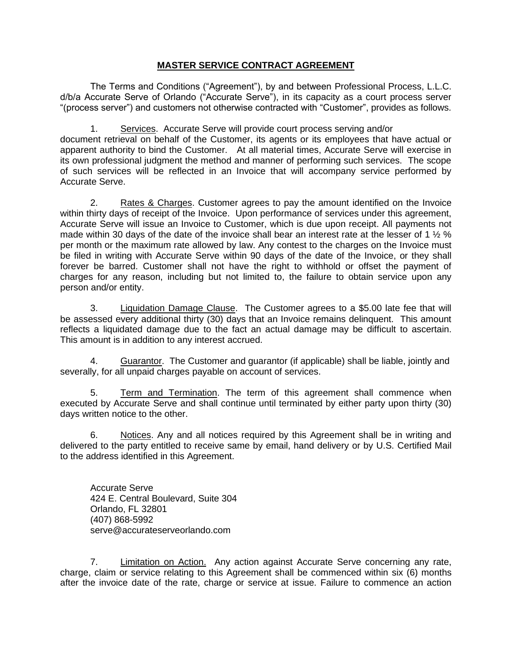## **MASTER SERVICE CONTRACT AGREEMENT**

The Terms and Conditions ("Agreement"), by and between Professional Process, L.L.C. d/b/a Accurate Serve of Orlando ("Accurate Serve"), in its capacity as a court process server "(process server") and customers not otherwise contracted with "Customer", provides as follows.

1. Services. Accurate Serve will provide court process serving and/or document retrieval on behalf of the Customer, its agents or its employees that have actual or apparent authority to bind the Customer. At all material times, Accurate Serve will exercise in its own professional judgment the method and manner of performing such services. The scope of such services will be reflected in an Invoice that will accompany service performed by Accurate Serve.

2. Rates & Charges. Customer agrees to pay the amount identified on the Invoice within thirty days of receipt of the Invoice. Upon performance of services under this agreement, Accurate Serve will issue an Invoice to Customer, which is due upon receipt. All payments not made within 30 days of the date of the invoice shall bear an interest rate at the lesser of 1  $\frac{1}{2}$  % per month or the maximum rate allowed by law. Any contest to the charges on the Invoice must be filed in writing with Accurate Serve within 90 days of the date of the Invoice, or they shall forever be barred. Customer shall not have the right to withhold or offset the payment of charges for any reason, including but not limited to, the failure to obtain service upon any person and/or entity.

3. Liquidation Damage Clause. The Customer agrees to a \$5.00 late fee that will be assessed every additional thirty (30) days that an Invoice remains delinquent. This amount reflects a liquidated damage due to the fact an actual damage may be difficult to ascertain. This amount is in addition to any interest accrued.

4. Guarantor. The Customer and guarantor (if applicable) shall be liable, jointly and severally, for all unpaid charges payable on account of services.

5. Term and Termination. The term of this agreement shall commence when executed by Accurate Serve and shall continue until terminated by either party upon thirty (30) days written notice to the other.

6. Notices. Any and all notices required by this Agreement shall be in writing and delivered to the party entitled to receive same by email, hand delivery or by U.S. Certified Mail to the address identified in this Agreement.

Accurate Serve 424 E. Central Boulevard, Suite 304 Orlando, FL 32801 (407) 868-5992 serve@accurateserveorlando.com

7. Limitation on Action. Any action against Accurate Serve concerning any rate, charge, claim or service relating to this Agreement shall be commenced within six (6) months after the invoice date of the rate, charge or service at issue. Failure to commence an action